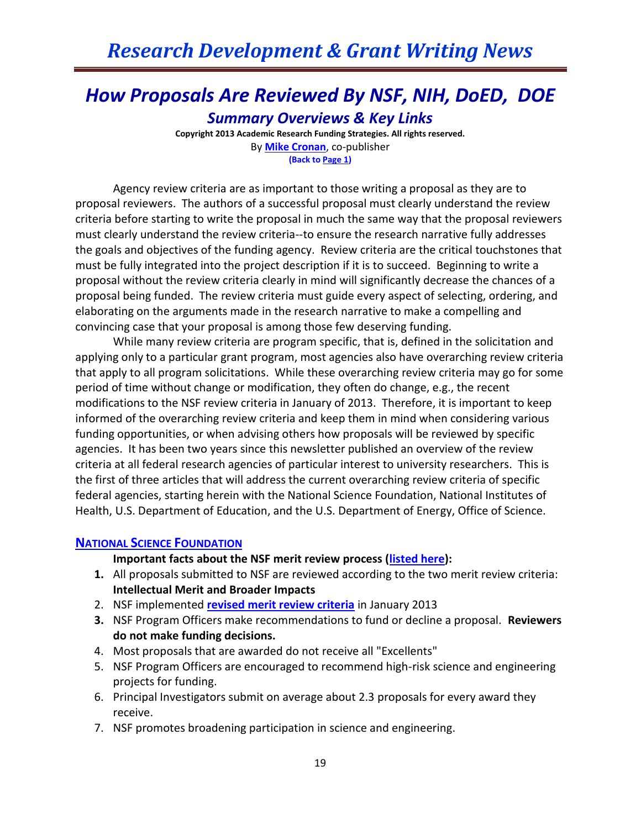## *How Proposals Are Reviewed By NSF, NIH, DoED, DOE Summary Overviews & Key Links*

**Copyright 2013 Academic Research Funding Strategies. All rights reserved.** By **[Mike Cronan](mailto:mjcronan@gmail.com)**, co-publisher **(Back to Page 1)**

Agency review criteria are as important to those writing a proposal as they are to proposal reviewers. The authors of a successful proposal must clearly understand the review criteria before starting to write the proposal in much the same way that the proposal reviewers must clearly understand the review criteria--to ensure the research narrative fully addresses the goals and objectives of the funding agency. Review criteria are the critical touchstones that must be fully integrated into the project description if it is to succeed. Beginning to write a proposal without the review criteria clearly in mind will significantly decrease the chances of a proposal being funded. The review criteria must guide every aspect of selecting, ordering, and elaborating on the arguments made in the research narrative to make a compelling and convincing case that your proposal is among those few deserving funding.

While many review criteria are program specific, that is, defined in the solicitation and applying only to a particular grant program, most agencies also have overarching review criteria that apply to all program solicitations. While these overarching review criteria may go for some period of time without change or modification, they often do change, e.g., the recent modifications to the NSF review criteria in January of 2013. Therefore, it is important to keep informed of the overarching review criteria and keep them in mind when considering various funding opportunities, or when advising others how proposals will be reviewed by specific agencies. It has been two years since this newsletter published an overview of the review criteria at all federal research agencies of particular interest to university researchers. This is the first of three articles that will address the current overarching review criteria of specific federal agencies, starting herein with the National Science Foundation, National Institutes of Health, U.S. Department of Education, and the U.S. Department of Energy, Office of Science.

### **NATIONAL SCIENCE F[OUNDATION](http://www.nsf.gov/bfa/dias/policy/merit_review/)**

#### **Important facts about the NSF merit review process [\(listed here\)](http://www.nsf.gov/bfa/dias/policy/merit_review/facts.jsp):**

- **1.** All proposals submitted to NSF are reviewed according to the two merit review criteria: **Intellectual Merit and Broader Impacts**
- 2. NSF implemented **[revised merit review criteria](http://www.nsf.gov/bfa/dias/policy/merit_review/resources.jsp)** in January 2013
- **3.** NSF Program Officers make recommendations to fund or decline a proposal. **Reviewers do not make funding decisions.**
- 4. Most proposals that are awarded do not receive all "Excellents"
- 5. NSF Program Officers are encouraged to recommend high-risk science and engineering projects for funding.
- 6. Principal Investigators submit on average about 2.3 proposals for every award they receive.
- 7. NSF promotes broadening participation in science and engineering.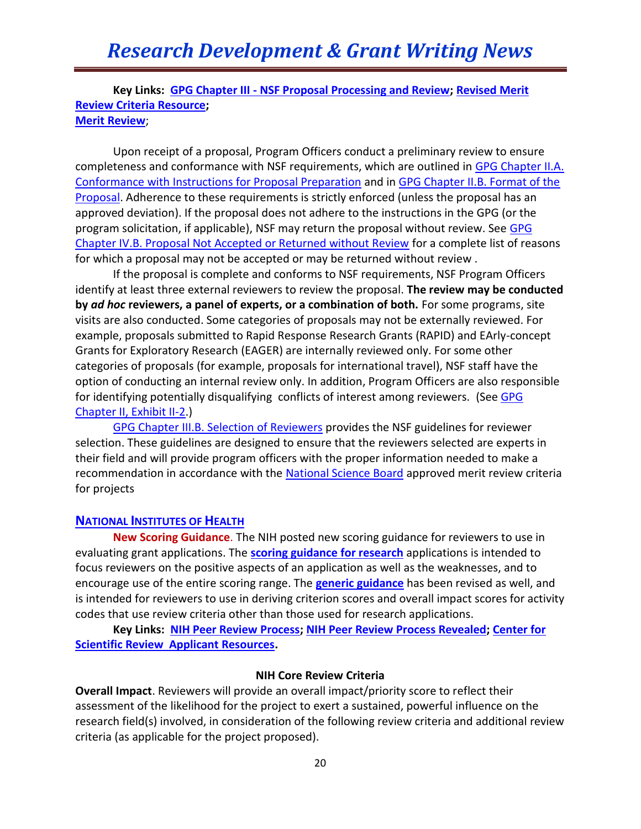**Key Links: GPG Chapter III - [NSF Proposal Processing and Review;](http://www.nsf.gov/pubs/policydocs/pappguide/nsf13001/gpg_3.jsp#IIIA) [Revised Merit](http://www.nsf.gov/bfa/dias/policy/merit_review/resources.jsp)  [Review Criteria Resource;](http://www.nsf.gov/bfa/dias/policy/merit_review/resources.jsp) [Merit Review](http://www.nsf.gov/bfa/dias/policy/merit_review/)**;

Upon receipt of a proposal, Program Officers conduct a preliminary review to ensure completeness and conformance with NSF requirements, which are outlined in GPG Chapter II.A. [Conformance with Instructions for Proposal Preparation](http://www.nsf.gov/pubs/policydocs/pappguide/nsf13001/gpg_2.jsp#IIA) and in [GPG Chapter II.B. Format of the](http://www.nsf.gov/pubs/policydocs/pappguide/nsf13001/gpg_2.jsp#IIB)  [Proposal.](http://www.nsf.gov/pubs/policydocs/pappguide/nsf13001/gpg_2.jsp#IIB) Adherence to these requirements is strictly enforced (unless the proposal has an approved deviation). If the proposal does not adhere to the instructions in the GPG (or the program solicitation, if applicable), NSF may return the proposal without review. See [GPG](http://www.nsf.gov/pubs/policydocs/pappguide/nsf13001/gpg_4.jsp#IVB)  [Chapter IV.B. Proposal Not Accepted or Returned without Review](http://www.nsf.gov/pubs/policydocs/pappguide/nsf13001/gpg_4.jsp#IVB) for a complete list of reasons for which a proposal may not be accepted or may be returned without review .

If the proposal is complete and conforms to NSF requirements, NSF Program Officers identify at least three external reviewers to review the proposal. **The review may be conducted by** *ad hoc* **reviewers, a panel of experts, or a combination of both.** For some programs, site visits are also conducted. Some categories of proposals may not be externally reviewed. For example, proposals submitted to Rapid Response Research Grants (RAPID) and EArly-concept Grants for Exploratory Research (EAGER) are internally reviewed only. For some other categories of proposals (for example, proposals for international travel), NSF staff have the option of conducting an internal review only. In addition, Program Officers are also responsible for identifying potentially disqualifying conflicts of interest among reviewers. (See GPG [Chapter II, Exhibit II-2.](http://www.nsf.gov/pubs/policydocs/pappguide/nsf13001/gpg_2.jsp#IIex2))

[GPG Chapter III.B. Selection of Reviewers](http://www.nsf.gov/pubs/policydocs/pappguide/nsf13001/gpg_3.jsp#IIIB) provides the NSF guidelines for reviewer selection. These guidelines are designed to ensure that the reviewers selected are experts in their field and will provide program officers with the proper information needed to make a recommendation in accordance with the [National Science Board](http://www.nsf.gov/nsb/) approved merit review criteria for projects

### **NATIONAL INSTITUTES OF HEALTH**

**New Scoring Guidance**. The NIH posted new scoring guidance for reviewers to use in evaluating grant applications. The **[scoring guidance for research](http://grants.nih.gov/grants/peer/guidelines_general/scoring_guidance_research.pdf)** applications is intended to focus reviewers on the positive aspects of an application as well as the weaknesses, and to encourage use of the entire scoring range. The **[generic guidance](http://grants.nih.gov/grants/peer/guidelines_general/scoring_system_and_procedure.pdf)** has been revised as well, and is intended for reviewers to use in deriving criterion scores and overall impact scores for activity codes that use review criteria other than those used for research applications.

**Key Links: [NIH Peer Review Process;](http://grants.nih.gov/Grants/peer_review_process.htm#Overview) [NIH Peer Review Process Revealed;](http://public.csr.nih.gov/Pages/default.aspx) [Center for](http://public.csr.nih.gov/ApplicantResources/Pages/default.aspx)  [Scientific Review Applicant Resources.](http://public.csr.nih.gov/ApplicantResources/Pages/default.aspx)**

### **NIH Core Review Criteria**

**Overall Impact**. Reviewers will provide an overall impact/priority score to reflect their assessment of the likelihood for the project to exert a sustained, powerful influence on the research field(s) involved, in consideration of the following review criteria and additional review criteria (as applicable for the project proposed).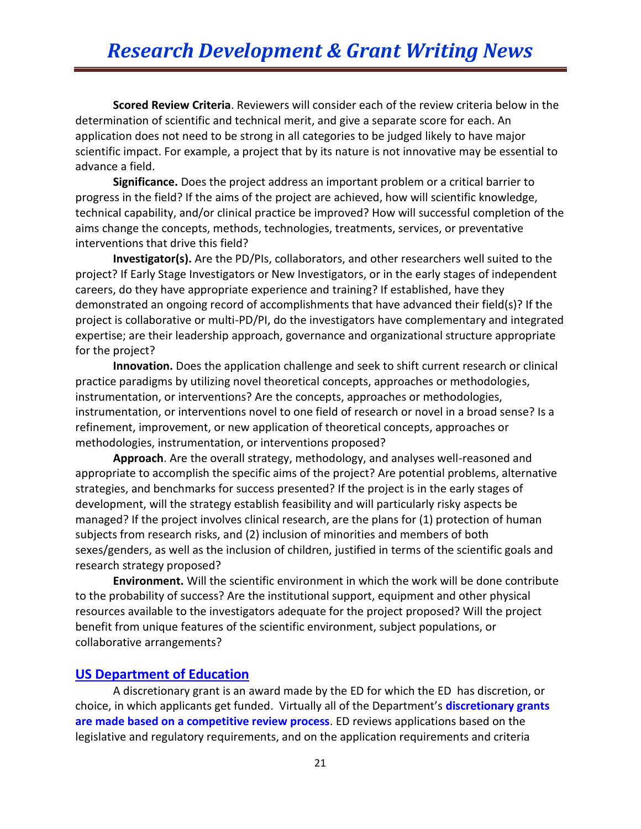**Scored Review Criteria**. Reviewers will consider each of the review criteria below in the determination of scientific and technical merit, and give a separate score for each. An application does not need to be strong in all categories to be judged likely to have major scientific impact. For example, a project that by its nature is not innovative may be essential to advance a field.

**Significance.** Does the project address an important problem or a critical barrier to progress in the field? If the aims of the project are achieved, how will scientific knowledge, technical capability, and/or clinical practice be improved? How will successful completion of the aims change the concepts, methods, technologies, treatments, services, or preventative interventions that drive this field?

**Investigator(s).** Are the PD/PIs, collaborators, and other researchers well suited to the project? If Early Stage Investigators or New Investigators, or in the early stages of independent careers, do they have appropriate experience and training? If established, have they demonstrated an ongoing record of accomplishments that have advanced their field(s)? If the project is collaborative or multi-PD/PI, do the investigators have complementary and integrated expertise; are their leadership approach, governance and organizational structure appropriate for the project?

**Innovation.** Does the application challenge and seek to shift current research or clinical practice paradigms by utilizing novel theoretical concepts, approaches or methodologies, instrumentation, or interventions? Are the concepts, approaches or methodologies, instrumentation, or interventions novel to one field of research or novel in a broad sense? Is a refinement, improvement, or new application of theoretical concepts, approaches or methodologies, instrumentation, or interventions proposed?

**Approach**. Are the overall strategy, methodology, and analyses well-reasoned and appropriate to accomplish the specific aims of the project? Are potential problems, alternative strategies, and benchmarks for success presented? If the project is in the early stages of development, will the strategy establish feasibility and will particularly risky aspects be managed? If the project involves clinical research, are the plans for (1) protection of human subjects from research risks, and (2) inclusion of minorities and members of both sexes/genders, as well as the inclusion of children, justified in terms of the scientific goals and research strategy proposed?

**Environment.** Will the scientific environment in which the work will be done contribute to the probability of success? Are the institutional support, equipment and other physical resources available to the investigators adequate for the project proposed? Will the project benefit from unique features of the scientific environment, subject populations, or collaborative arrangements?

## **[US Department of Education](http://www2.ed.gov/fund/grant/about/grantmaking/index.html)**

A discretionary grant is an award made by the ED for which the ED has discretion, or choice, in which applicants get funded. Virtually all of the Department's **discretionary grants are made based on a competitive review process**. ED reviews applications based on the legislative and regulatory requirements, and on the application requirements and criteria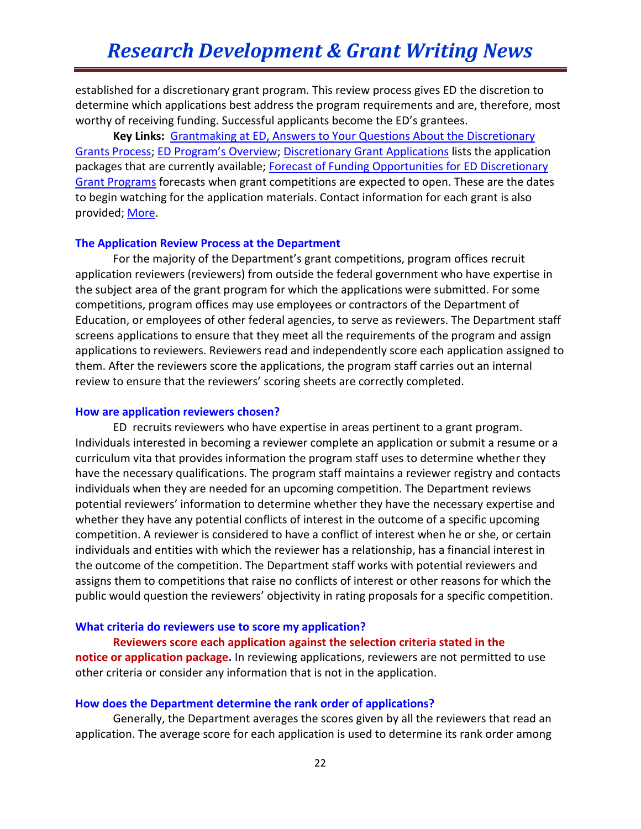established for a discretionary grant program. This review process gives ED the discretion to determine which applications best address the program requirements and are, therefore, most worthy of receiving funding. Successful applicants become the ED's grantees.

**Key Links:** [Grantmaking at ED, Answers to Your Questions About the Discretionary](http://www2.ed.gov/fund/grant/about/grantmaking/grantmaking.pdf)  [Grants Process;](http://www2.ed.gov/fund/grant/about/grantmaking/grantmaking.pdf) [ED Program's Overview](http://www2.ed.gov/programs/landing.jhtml)[; Discretionary Grant Applications](http://1.usa.gov/jZARDX) lists the application packages that are currently available; Forecast of Funding Opportunities for ED Discretionary [Grant Programs](http://1.usa.gov/jq68Wf) forecasts when grant competitions are expected to open. These are the dates to begin watching for the application materials. Contact information for each grant is also provided; [More.](https://answers.ed.gov/link/portal/28022/28025/Article/550/Grant-opportunities)

#### **The Application Review Process at the Department**

For the majority of the Department's grant competitions, program offices recruit application reviewers (reviewers) from outside the federal government who have expertise in the subject area of the grant program for which the applications were submitted. For some competitions, program offices may use employees or contractors of the Department of Education, or employees of other federal agencies, to serve as reviewers. The Department staff screens applications to ensure that they meet all the requirements of the program and assign applications to reviewers. Reviewers read and independently score each application assigned to them. After the reviewers score the applications, the program staff carries out an internal review to ensure that the reviewers' scoring sheets are correctly completed.

#### **How are application reviewers chosen?**

ED recruits reviewers who have expertise in areas pertinent to a grant program. Individuals interested in becoming a reviewer complete an application or submit a resume or a curriculum vita that provides information the program staff uses to determine whether they have the necessary qualifications. The program staff maintains a reviewer registry and contacts individuals when they are needed for an upcoming competition. The Department reviews potential reviewers' information to determine whether they have the necessary expertise and whether they have any potential conflicts of interest in the outcome of a specific upcoming competition. A reviewer is considered to have a conflict of interest when he or she, or certain individuals and entities with which the reviewer has a relationship, has a financial interest in the outcome of the competition. The Department staff works with potential reviewers and assigns them to competitions that raise no conflicts of interest or other reasons for which the public would question the reviewers' objectivity in rating proposals for a specific competition.

#### **What criteria do reviewers use to score my application?**

#### **Reviewers score each application against the selection criteria stated in the**

**notice or application package.** In reviewing applications, reviewers are not permitted to use other criteria or consider any information that is not in the application.

#### **How does the Department determine the rank order of applications?**

Generally, the Department averages the scores given by all the reviewers that read an application. The average score for each application is used to determine its rank order among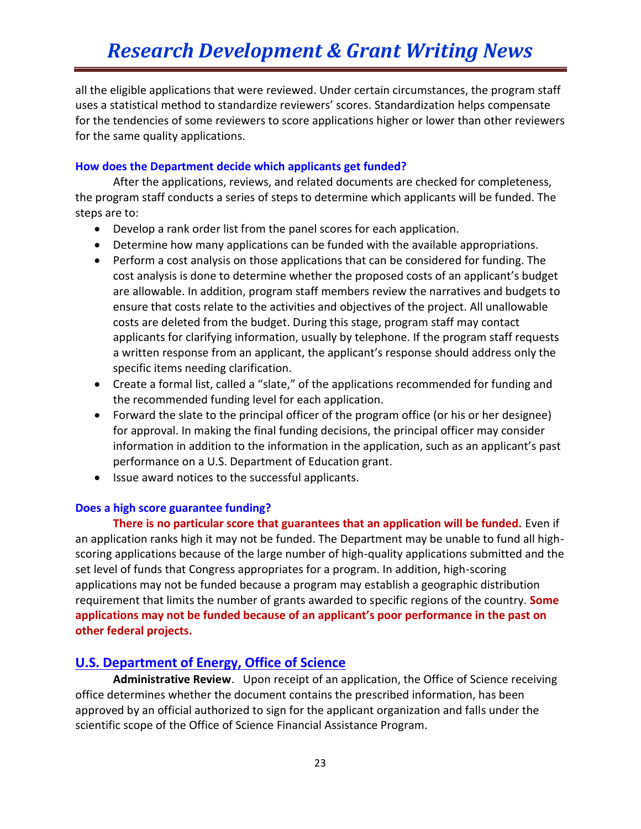all the eligible applications that were reviewed. Under certain circumstances, the program staff uses a statistical method to standardize reviewers' scores. Standardization helps compensate for the tendencies of some reviewers to score applications higher or lower than other reviewers for the same quality applications.

## **How does the Department decide which applicants get funded?**

After the applications, reviews, and related documents are checked for completeness, the program staff conducts a series of steps to determine which applicants will be funded. The steps are to:

- Develop a rank order list from the panel scores for each application.
- Determine how many applications can be funded with the available appropriations.
- Perform a cost analysis on those applications that can be considered for funding. The cost analysis is done to determine whether the proposed costs of an applicant's budget are allowable. In addition, program staff members review the narratives and budgets to ensure that costs relate to the activities and objectives of the project. All unallowable costs are deleted from the budget. During this stage, program staff may contact applicants for clarifying information, usually by telephone. If the program staff requests a written response from an applicant, the applicant's response should address only the specific items needing clarification.
- Create a formal list, called a "slate," of the applications recommended for funding and the recommended funding level for each application.
- Forward the slate to the principal officer of the program office (or his or her designee) for approval. In making the final funding decisions, the principal officer may consider information in addition to the information in the application, such as an applicant's past performance on a U.S. Department of Education grant.
- Issue award notices to the successful applicants.

### **Does a high score guarantee funding?**

**There is no particular score that guarantees that an application will be funded.** Even if an application ranks high it may not be funded. The Department may be unable to fund all highscoring applications because of the large number of high-quality applications submitted and the set level of funds that Congress appropriates for a program. In addition, high-scoring applications may not be funded because a program may establish a geographic distribution requirement that limits the number of grants awarded to specific regions of the country. **Some applications may not be funded because of an applicant's poor performance in the past on other federal projects.**

## **[U.S. Department of Energy, Office of Science](http://www.science.doe.gov/grants/process.asp)**

**Administrative Review**. Upon receipt of an application, the Office of Science receiving office determines whether the document contains the prescribed information, has been approved by an official authorized to sign for the applicant organization and falls under the scientific scope of the Office of Science Financial Assistance Program.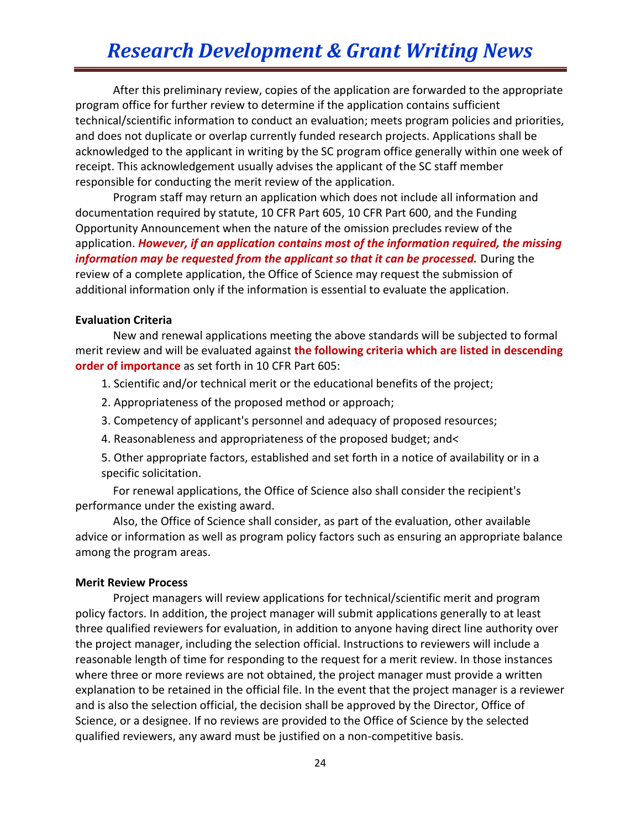After this preliminary review, copies of the application are forwarded to the appropriate program office for further review to determine if the application contains sufficient technical/scientific information to conduct an evaluation; meets program policies and priorities, and does not duplicate or overlap currently funded research projects. Applications shall be acknowledged to the applicant in writing by the SC program office generally within one week of receipt. This acknowledgement usually advises the applicant of the SC staff member responsible for conducting the merit review of the application.

 Program staff may return an application which does not include all information and documentation required by statute, 10 CFR Part 605, 10 CFR Part 600, and the Funding Opportunity Announcement when the nature of the omission precludes review of the application. *However, if an application contains most of the information required, the missing information may be requested from the applicant so that it can be processed.* During the review of a complete application, the Office of Science may request the submission of additional information only if the information is essential to evaluate the application.

#### **Evaluation Criteria**

 New and renewal applications meeting the above standards will be subjected to formal merit review and will be evaluated against **the following criteria which are listed in descending order of importance** as set forth in 10 CFR Part 605:

- 1. Scientific and/or technical merit or the educational benefits of the project;
- 2. Appropriateness of the proposed method or approach;
- 3. Competency of applicant's personnel and adequacy of proposed resources;
- 4. Reasonableness and appropriateness of the proposed budget; and<
- 5. Other appropriate factors, established and set forth in a notice of availability or in a specific solicitation.

 For renewal applications, the Office of Science also shall consider the recipient's performance under the existing award.

 Also, the Office of Science shall consider, as part of the evaluation, other available advice or information as well as program policy factors such as ensuring an appropriate balance among the program areas.

#### **Merit Review Process**

 Project managers will review applications for technical/scientific merit and program policy factors. In addition, the project manager will submit applications generally to at least three qualified reviewers for evaluation, in addition to anyone having direct line authority over the project manager, including the selection official. Instructions to reviewers will include a reasonable length of time for responding to the request for a merit review. In those instances where three or more reviews are not obtained, the project manager must provide a written explanation to be retained in the official file. In the event that the project manager is a reviewer and is also the selection official, the decision shall be approved by the Director, Office of Science, or a designee. If no reviews are provided to the Office of Science by the selected qualified reviewers, any award must be justified on a non-competitive basis.